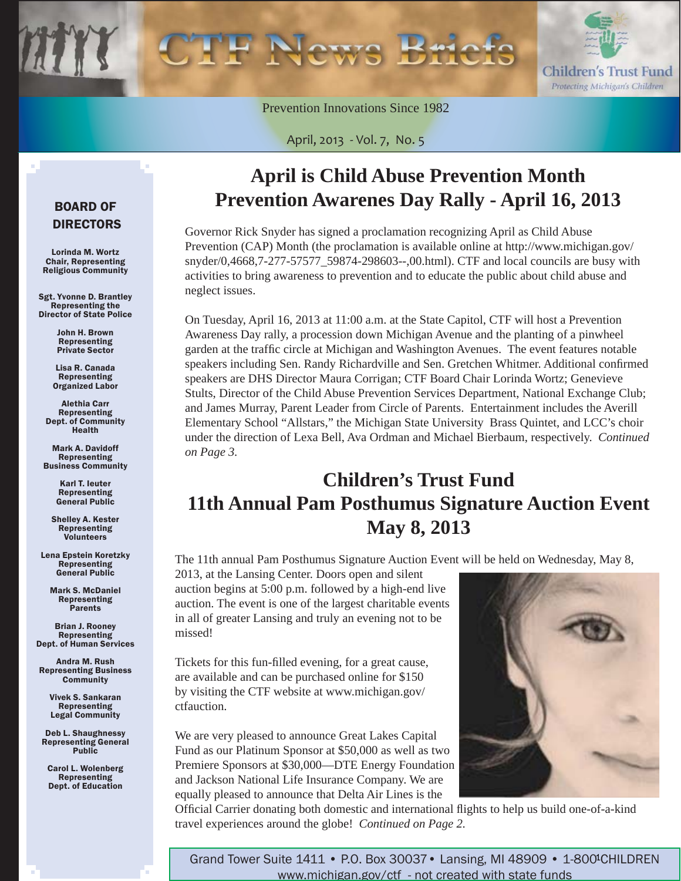

Prevention Innovations Since 1982

April, 2013 - Vol. 7, No. 5

# **April is Child Abuse Prevention Month Prevention Awarenes Day Rally - April 16, 2013**

Governor Rick Snyder has signed a proclamation recognizing April as Child Abuse Prevention (CAP) Month (the proclamation is available online at http://www.michigan.gov/ [snyder/0,4668,7-277-57577\\_59874-298603--,00.html\). CTF and local councils are busy wit](http://www.michigan.gov/snyder/0,4668,7-277-57577_59874-298603--,00.html)h activities to bring awareness to prevention and to educate the public about child abuse and neglect issues.

On Tuesday, April 16, 2013 at 11:00 a.m. at the State Capitol, CTF will host a Prevention Awareness Day rally, a procession down Michigan Avenue and the planting of a pinwheel garden at the traffic circle at Michigan and Washington Avenues. The event features notable speakers including Sen. Randy Richardville and Sen. Gretchen Whitmer. Additional confirmed speakers are DHS Director Maura Corrigan; CTF Board Chair Lorinda Wortz; Genevieve Stults, Director of the Child Abuse Prevention Services Department, National Exchange Club; and James Murray, Parent Leader from Circle of Parents. Entertainment includes the Averill Elementary School "Allstars," the Michigan State University Brass Quintet, and LCC's choir under the direction of Lexa Bell, Ava Ordman and Michael Bierbaum, respectively. *Continued on Page 3.*

# **Children's Trust Fund 11th Annual Pam Posthumus Signature Auction Event May 8, 2013**

The 11th annual Pam Posthumus Signature Auction Event will be held on Wednesday, May 8,

2013, at the Lansing Center. Doors open and silent auction begins at 5:00 p.m. followed by a high-end live auction. The event is one of the largest charitable events in all of greater Lansing and truly an evening not to be missed!

Tickets for this fun-filled evening, for a great cause, are available and can be purchased online for \$150 [by visiting the CTF website at www.michigan.gov/](www.michigan.gov/ctfauction) ctfauction.

We are very pleased to announce Great Lakes Capital Fund as our Platinum Sponsor at \$50,000 as well as two Premiere Sponsors at \$30,000—DTE Energy Foundation and Jackson National Life Insurance Company. We are equally pleased to announce that Delta Air Lines is the



Official Carrier donating both domestic and international flights to help us build one-of-a-kind travel experiences around the globe! *Continued on Page 2.*

### BOARD OF DIRECTORS

Lorinda M. Wortz Chair, Representing Religious Community

Sgt. Yvonne D. Brantley Representing the Director of State Police

> John H. Brown Representing Private Sector

Lisa R. Canada Representing Organized Labor

Alethia Carr Representing Dept. of Community **Health** 

Mark A. Davidoff Representing Business Community

> Karl T. Ieuter Representing General Public

Shelley A. Kester Representing Volunteers

Lena Epstein Koretzky Representing General Public

Mark S. McDaniel Representing Parents

Brian J. Rooney **Representing** Dept. of Human Services

Andra M. Rush Representing Business **Community** 

> Vivek S. Sankaran Representing Legal Community

Deb L. Shaughnessy Representing General **Public** 

Carol L. Wolenberg Representing Dept. of Education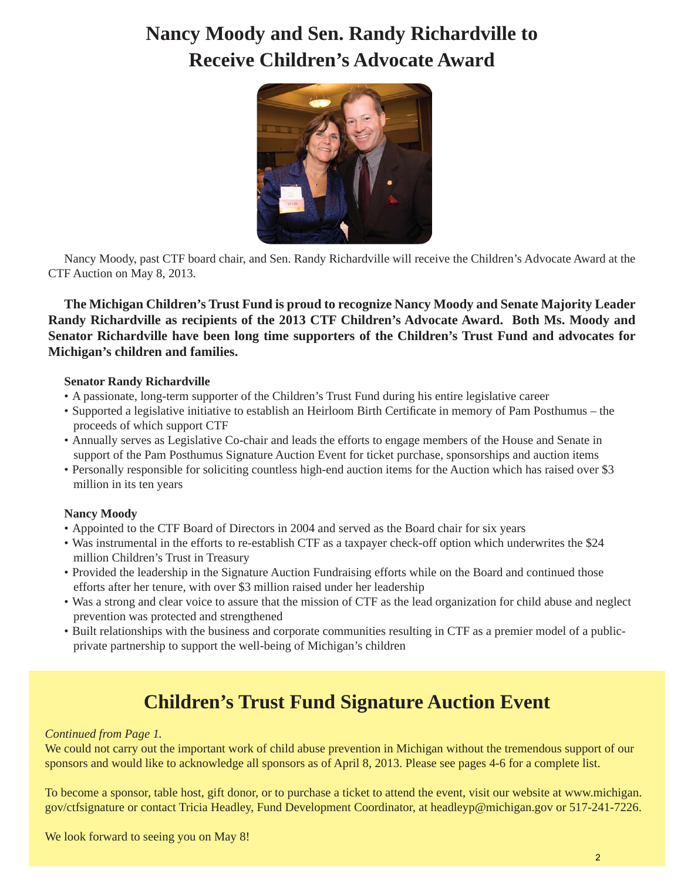# **Nancy Moody and Sen. Randy Richardville to Receive Children's Advocate Award**



Nancy Moody, past CTF board chair, and Sen. Randy Richardville will receive the Children's Advocate Award at the CTF Auction on May 8, 2013.

**The Michigan Children's Trust Fund is proud to recognize Nancy Moody and Senate Majority Leader Randy Richardville as recipients of the 2013 CTF Children's Advocate Award. Both Ms. Moody and Senator Richardville have been long time supporters of the Children's Trust Fund and advocates for Michigan's children and families.**

#### **Senator Randy Richardville**

- A passionate, long-term supporter of the Children's Trust Fund during his entire legislative career
- Supported a legislative initiative to establish an Heirloom Birth Certificate in memory of Pam Posthumus the proceeds of which support CTF
- Annually serves as Legislative Co-chair and leads the efforts to engage members of the House and Senate in support of the Pam Posthumus Signature Auction Event for ticket purchase, sponsorships and auction items
- Personally responsible for soliciting countless high-end auction items for the Auction which has raised over \$3 million in its ten years

### **Nancy Moody**

- Appointed to the CTF Board of Directors in 2004 and served as the Board chair for six years
- Was instrumental in the efforts to re-establish CTF as a taxpayer check-off option which underwrites the \$24 million Children's Trust in Treasury
- Provided the leadership in the Signature Auction Fundraising efforts while on the Board and continued those efforts after her tenure, with over \$3 million raised under her leadership
- Was a strong and clear voice to assure that the mission of CTF as the lead organization for child abuse and neglect prevention was protected and strengthened
- Built relationships with the business and corporate communities resulting in CTF as a premier model of a public private partnership to support the well-being of Michigan's children

### **Children's Trust Fund Signature Auction Event**

#### *Continued from Page 1.*

We could not carry out the important work of child abuse prevention in Michigan without the tremendous support of our sponsors and would like to acknowledge all sponsors as of April 8, 2013. Please see pages 4-6 for a complete list.

[To become a sponsor, table host, gift donor, or to purchase a ticket to attend the event, visit our website at www.michigan.](www.michigan.gov/ctfsignature) gov/ctfsignature or contact Tricia Headley, Fund Development Coordinator, at headleyp@michigan.gov or 517-241-7226.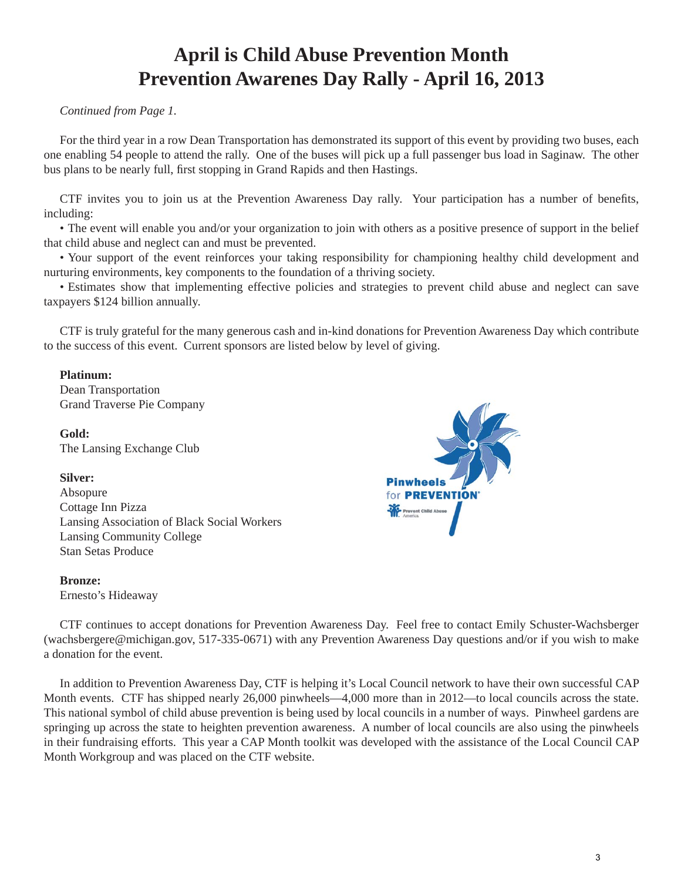## **April is Child Abuse Prevention Month Prevention Awarenes Day Rally - April 16, 2013**

#### *Continued from Page 1.*

For the third year in a row Dean Transportation has demonstrated its support of this event by providing two buses, each one enabling 54 people to attend the rally. One of the buses will pick up a full passenger bus load in Saginaw. The other bus plans to be nearly full, first stopping in Grand Rapids and then Hastings.

CTF invites you to join us at the Prevention Awareness Day rally. Your participation has a number of benefits, including:

• The event will enable you and/or your organization to join with others as a positive presence of support in the belief that child abuse and neglect can and must be prevented.

• Your support of the event reinforces your taking responsibility for championing healthy child development and nurturing environments, key components to the foundation of a thriving society.

• Estimates show that implementing effective policies and strategies to prevent child abuse and neglect can save taxpayers \$124 billion annually.

CTF is truly grateful for the many generous cash and in-kind donations for Prevention Awareness Day which contribute to the success of this event. Current sponsors are listed below by level of giving.

#### **Platinum:**

Dean Transportation Grand Traverse Pie Company

**Gold:** The Lansing Exchange Club

#### **Silver:**

Absopure Cottage Inn Pizza Lansing Association of Black Social Workers Lansing Community College Stan Setas Produce

#### **Bronze:**

Ernesto's Hideaway

**Pinwheels** for **PREVENTION** 

CTF continues to accept donations for Prevention Awareness Day. Feel free to contact Emily Schuster-Wachsberger (wachsbergere@michigan.gov, 517-335-0671) with any Prevention Awareness Day questions and/or if you wish to make a donation for the event.

In addition to Prevention Awareness Day, CTF is helping it's Local Council network to have their own successful CAP Month events. CTF has shipped nearly 26,000 pinwheels—4,000 more than in 2012—to local councils across the state. This national symbol of child abuse prevention is being used by local councils in a number of ways. Pinwheel gardens are springing up across the state to heighten prevention awareness. A number of local councils are also using the pinwheels in their fundraising efforts. This year a CAP Month toolkit was developed with the assistance of the Local Council CAP Month Workgroup and was placed on the CTF website.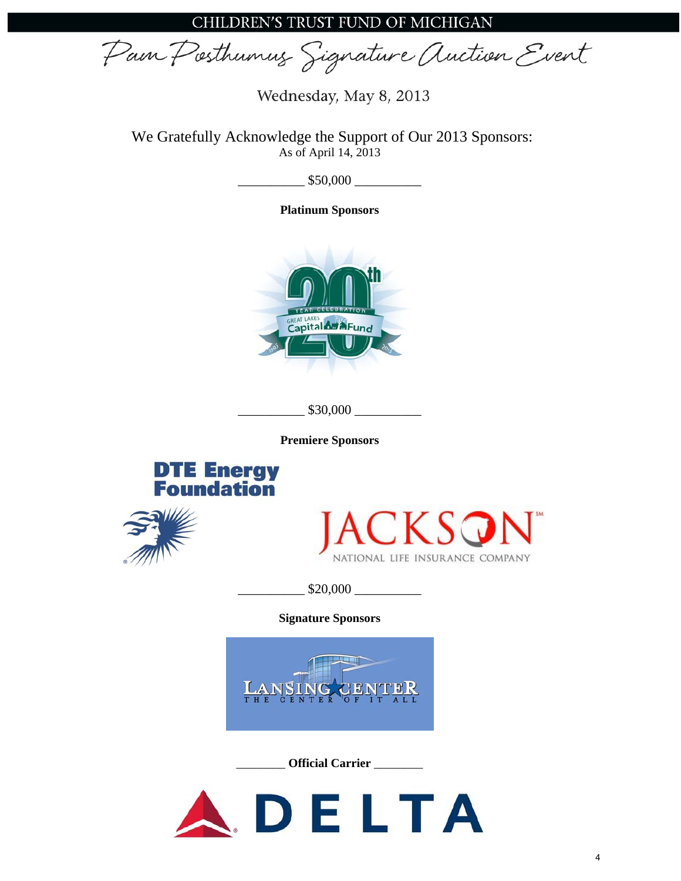CHILDREN'S TRUST FUND OF MICHIGAN

Pain Posthumus Signature Auction Event

Wednesday, May 8, 2013

We Gratefully Acknowledge the Support of Our 2013 Sponsors: As of April 14, 2013

 $\frac{\$50,000}$ 

**Platinum Sponsors** 



\_\_\_\_\_\_\_\_\_\_ \$30,000 \_\_\_\_\_\_\_\_\_\_

**Premiere Sponsors** 







\_\_\_\_\_\_\_\_\_\_ \$20,000 \_\_\_\_\_\_\_\_\_\_

**Signature Sponsors** 



\_\_\_\_\_\_\_\_ **Official Carrier** \_\_\_\_\_\_\_\_

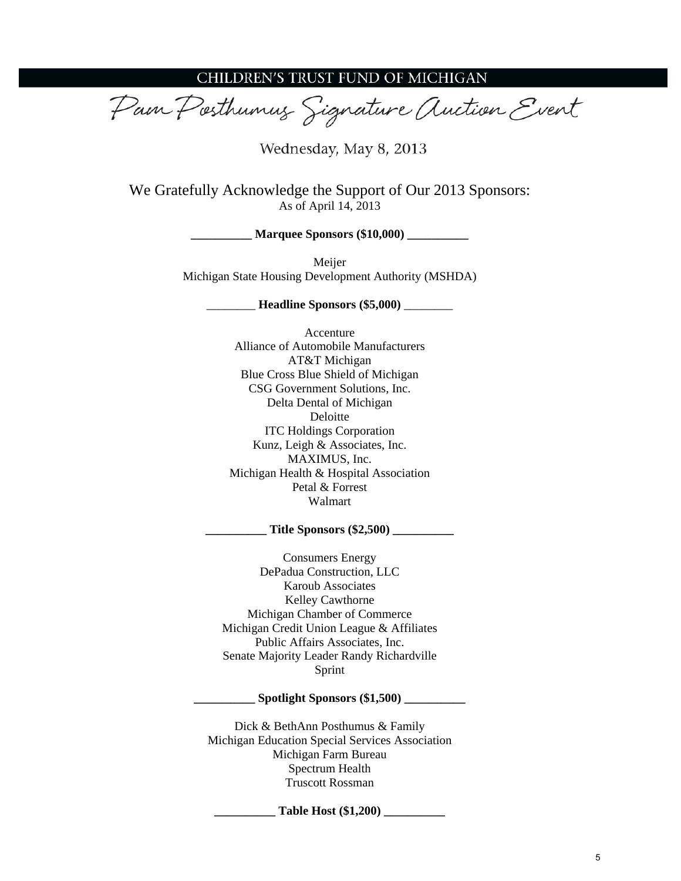### CHILDREN'S TRUST FUND OF MICHIGAN

Pain Posthumus Signature Auction Event

Wednesday, May 8, 2013

We Gratefully Acknowledge the Support of Our 2013 Sponsors: As of April 14, 2013

**Marquee Sponsors (\$10,000)** 

Meijer Michigan State Housing Development Authority (MSHDA)

\_\_\_\_\_\_\_\_ **Headline Sponsors (\$5,000)** \_\_\_\_\_\_\_\_

Accenture Alliance of Automobile Manufacturers AT&T Michigan Blue Cross Blue Shield of Michigan CSG Government Solutions, Inc. Delta Dental of Michigan Deloitte ITC Holdings Corporation Kunz, Leigh & Associates, Inc. MAXIMUS, Inc. Michigan Health & Hospital Association Petal & Forrest Walmart

**\_\_\_\_\_\_\_\_\_\_ Title Sponsors (\$2,500) \_\_\_\_\_\_\_\_\_\_** 

Consumers Energy DePadua Construction, LLC Karoub Associates Kelley Cawthorne Michigan Chamber of Commerce Michigan Credit Union League & Affiliates Public Affairs Associates, Inc. Senate Majority Leader Randy Richardville Sprint

#### **\_\_\_\_\_\_\_\_\_\_ Spotlight Sponsors (\$1,500) \_\_\_\_\_\_\_\_\_\_**

Dick & BethAnn Posthumus & Family Michigan Education Special Services Association Michigan Farm Bureau Spectrum Health Truscott Rossman

**\_\_\_\_\_\_\_\_\_\_ Table Host (\$1,200) \_\_\_\_\_\_\_\_\_\_**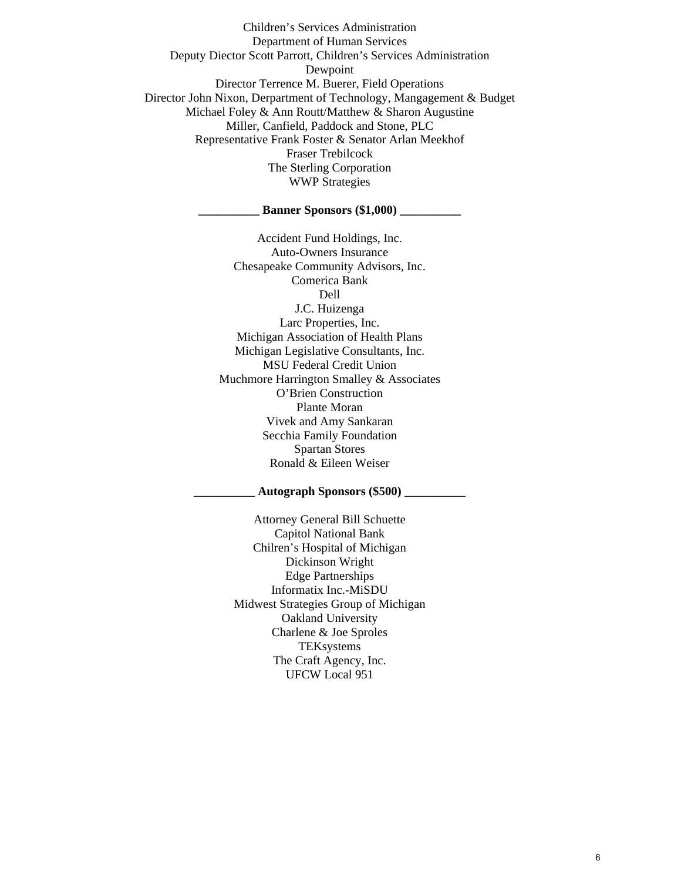Children's Services Administration Department of Human Services Deputy Diector Scott Parrott, Children's Services Administration Dewpoint Director Terrence M. Buerer, Field Operations Director John Nixon, Derpartment of Technology, Mangagement & Budget Michael Foley & Ann Routt/Matthew & Sharon Augustine Miller, Canfield, Paddock and Stone, PLC Representative Frank Foster & Senator Arlan Meekhof Fraser Trebilcock The Sterling Corporation WWP Strategies

#### **Example 5 Sponsors (\$1,000)**

Accident Fund Holdings, Inc. Auto-Owners Insurance Chesapeake Community Advisors, Inc. Comerica Bank Dell J.C. Huizenga Larc Properties, Inc. Michigan Association of Health Plans Michigan Legislative Consultants, Inc. MSU Federal Credit Union Muchmore Harrington Smalley & Associates O'Brien Construction Plante Moran Vivek and Amy Sankaran Secchia Family Foundation Spartan Stores Ronald & Eileen Weiser

#### **\_\_\_\_\_\_\_\_\_\_ Autograph Sponsors (\$500) \_\_\_\_\_\_\_\_\_\_**

Attorney General Bill Schuette Capitol National Bank Chilren's Hospital of Michigan Dickinson Wright Edge Partnerships Informatix Inc.-MiSDU Midwest Strategies Group of Michigan Oakland University Charlene & Joe Sproles **TEKsystems** The Craft Agency, Inc. UFCW Local 951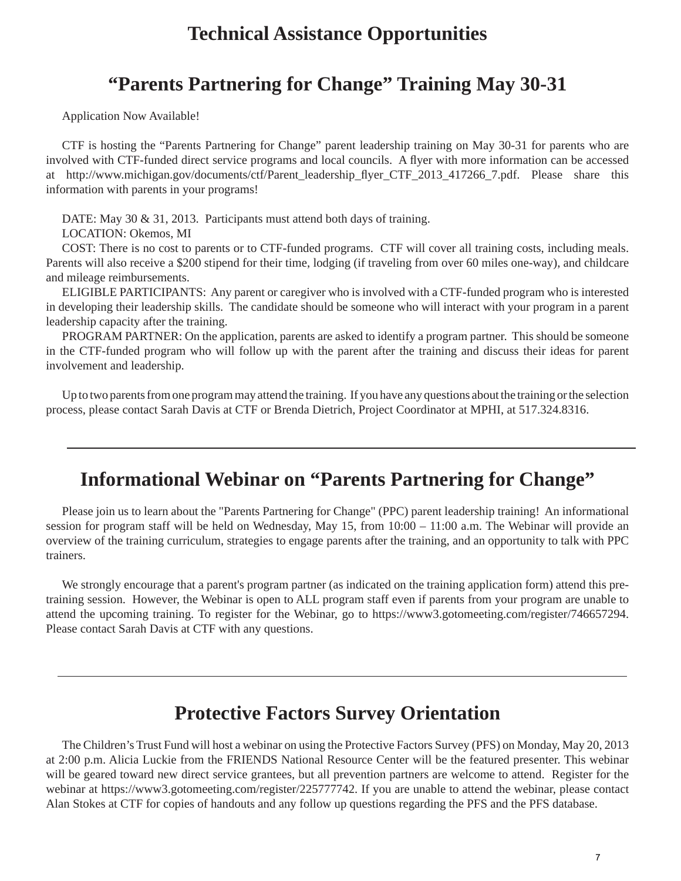### **Technical Assistance Opportunities**

### **"Parents Partnering for Change" Training May 30-31**

Application Now Available!

CTF is hosting the "Parents Partnering for Change" parent leadership training on May 30-31 for parents who are involved with CTF-funded direct service programs and local councils. A flyer with more information can be accessed at [http://www.michigan.gov/documents/ctf/Parent\\_leadership\\_](http://www.michigan.gov/documents/ctf/Parent_leadership_flyer_CTF_2013_417266_7.pdf)flyer\_CTF\_2013\_417266\_7.pdf. Please share this information with parents in your programs!

DATE: May 30 & 31, 2013. Participants must attend both days of training.

LOCATION: Okemos, MI

COST: There is no cost to parents or to CTF-funded programs. CTF will cover all training costs, including meals. Parents will also receive a \$200 stipend for their time, lodging (if traveling from over 60 miles one-way), and childcare and mileage reimbursements.

ELIGIBLE PARTICIPANTS: Any parent or caregiver who is involved with a CTF-funded program who is interested in developing their leadership skills. The candidate should be someone who will interact with your program in a parent leadership capacity after the training.

PROGRAM PARTNER: On the application, parents are asked to identify a program partner. This should be someone in the CTF-funded program who will follow up with the parent after the training and discuss their ideas for parent involvement and leadership.

Up to two parents from one program may attend the training. If you have any questions about the training or the selection process, please contact Sarah Davis at CTF or Brenda Dietrich, Project Coordinator at MPHI, at 517.324.8316.

### **Informational Webinar on "Parents Partnering for Change"**

Please join us to learn about the "Parents Partnering for Change" (PPC) parent leadership training! An informational session for program staff will be held on Wednesday, May 15, from 10:00 – 11:00 a.m. The Webinar will provide an overview of the training curriculum, strategies to engage parents after the training, and an opportunity to talk with PPC trainers.

We strongly encourage that a parent's program partner (as indicated on the training application form) attend this pretraining session. However, the Webinar is open to ALL program staff even if parents from your program are unable to attend the upcoming training. To register for the Webinar, go to https://www3.gotomeeting.com/register/746657294. Please contact Sarah Davis at CTF with any questions.

### **Protective Factors Survey Orientation**

The Children's Trust Fund will host a webinar on using the Protective Factors Survey (PFS) on Monday, May 20, 2013 at 2:00 p.m. Alicia Luckie from the FRIENDS National Resource Center will be the featured presenter. This webinar will be geared toward new direct service grantees, but all prevention partners are welcome to attend. Register for the webinar at https://www3.gotomeeting.com/register/225777742. If you are unable to attend the webinar, please contact Alan Stokes at CTF for copies of handouts and any follow up questions regarding the PFS and the PFS database.